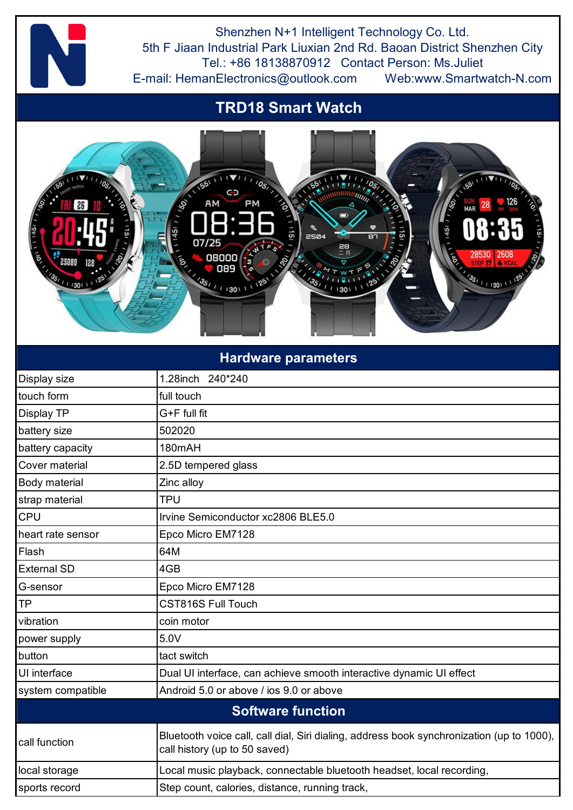

Shenzhen N+1 Intelligent Technology Co. Ltd. 5th F Jiaan Industrial Park Liuxian 2nd Rd. Baoan District Shenzhen City Tel.: +86 18138870912 Contact Person: Ms.Juliet E-mail: HemanElectronics@outlook.com Web:www.Smartwatch-N.com

## **TRD18 Smart Watch**



|                      | <b>Hardware parameters</b>                                                                                                 |
|----------------------|----------------------------------------------------------------------------------------------------------------------------|
| Display size         | 1.28inch 240*240                                                                                                           |
| touch form           | full touch                                                                                                                 |
| Display TP           | G+F full fit                                                                                                               |
| battery size         | 502020                                                                                                                     |
| battery capacity     | 180mAH                                                                                                                     |
| Cover material       | 2.5D tempered glass                                                                                                        |
| <b>Body material</b> | Zinc alloy                                                                                                                 |
| strap material       | TPU                                                                                                                        |
| <b>CPU</b>           | Irvine Semiconductor xc2806 BLE5.0                                                                                         |
| heart rate sensor    | Epco Micro EM7128                                                                                                          |
| Flash                | 64M                                                                                                                        |
| <b>External SD</b>   | 4GB                                                                                                                        |
| G-sensor             | Epco Micro EM7128                                                                                                          |
| ΤP                   | <b>CST816S Full Touch</b>                                                                                                  |
| vibration            | coin motor                                                                                                                 |
| power supply         | 5.0V                                                                                                                       |
| button               | tact switch                                                                                                                |
| UI interface         | Dual UI interface, can achieve smooth interactive dynamic UI effect                                                        |
| system compatible    | Android 5.0 or above / ios 9.0 or above                                                                                    |
|                      | <b>Software function</b>                                                                                                   |
| call function        | Bluetooth voice call, call dial, Siri dialing, address book synchronization (up to 1000),<br>call history (up to 50 saved) |
| local storage        | Local music playback, connectable bluetooth headset, local recording,                                                      |
| sports record        | Step count, calories, distance, running track,                                                                             |